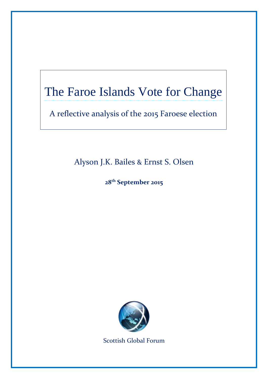# The Faroe Islands Vote for Change

…………………………………………………………………………………………………………………………………………………………………………………………………………………………………………………………………………………………………….

A reflective analysis of the 2015 Faroese election

# Alyson J.K. Bailes & Ernst S. Olsen

**28 th September 2015**



Scottish Global Forum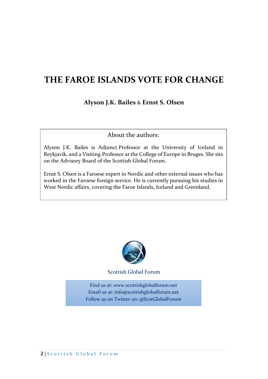# **THE FAROE ISLANDS VOTE FOR CHANGE**

**Alyson J.K. Bailes** & **Ernst S. Olsen**

About the authors:

Alyson J.K. Bailes is Adjunct Professor at the University of Iceland in Reykjavik, and a Visiting Professor at the College of Europe in Bruges. She sits on the Advisory Board of the Scottish Global Forum.

Ernst S. Olsen is a Faroese expert in Nordic and other external issues who has worked in the Faroese foreign service. He is currently pursuing his studies in West Nordic affairs, covering the Faroe Islands, Iceland and Greenland.



Scottish Global Forum

Find us at: www.scottishglobalforum.net Email us at: info@scottishglobalforum.net Follow us on Twitter on: @ScotGlobalForum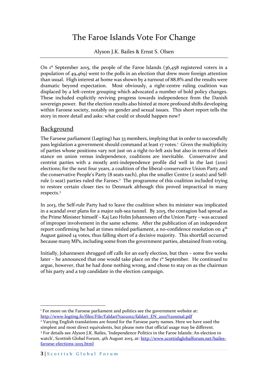## The Faroe Islands Vote For Change

Alyson J.K. Bailes & Ernst S. Olsen

On 1st September 2015, the people of the Faroe Islands (36,458 registered voters in a population of 49,469) went to the polls in an election that drew more foreign attention than usual. High interest at home was shown by a turnout of 88.8% and the results were dramatic beyond expectation. Most obviously, a right-centre ruling coalition was displaced by a left-centre grouping which advocated a number of bold policy changes. These included explicitly reviving progress towards independence from the Danish sovereign power. But the election results also hinted at more profound shifts developing within Faroese society, notably on gender and sexual issues. This short report tells the story in more detail and asks: what could or should happen now?

#### **Background**

The Faroese parliament (Løgting) has 33 members, implying that in order to successfully pass legislation a government should command at least 17 votes.<sup>1</sup> Given the multiplicity of parties whose positions vary not just on a right-to-left axis but also in terms of their stance on union versus independence, coalitions are inevitable. Conservative and centrist parties with a mostly anti-independence profile did well in the last (2011) elections; for the next four years, a coalition of the liberal-conservative Union Party and the conservative People's Party (8 seats each), plus the smaller Centre (2 seats) and Selfrule (1 seat) parties ruled the Faroes. <sup>2</sup> The programme of this coalition included trying to restore certain closer ties to Denmark although this proved impractical in many respects.<sup>3</sup>

In 2013, the Self-rule Party had to leave the coalition when its minister was implicated in a scandal over plans for a major sub-sea tunnel. By 2015, the contagion had spread as the Prime Minister himself – Kaj Leo Holm Johannesen of the Union Party – was accused of improper involvement in the same scheme. After the publication of an independent report confirming he had at times misled parliament, a no-confidence resolution on  $4<sup>th</sup>$ August gained 14 votes, thus falling short of a decisive majority. This shortfall occurred because many MPs, including some from the government parties, abstained from voting.

Initially, Johannesen shrugged off calls for an early election, but then – some five weeks later – he announced that one would take place on the 1<sup>st</sup> September. He continued to argue, however, that he had done nothing wrong, and chose to stay on as the chairman of his party and a top candidate in the election campaign.

 $\overline{a}$ <sup>1</sup> For more on the Faroese parliament and politics see the government website at: [http://www.logting.fo/files/File/Faldari%202012/faldari\\_EN\\_2012%20smal.pdf](http://www.logting.fo/files/File/Faldari%202012/faldari_EN_2012%20smal.pdf)

<sup>2</sup> Varying English translations are found for the Faroese party names. Here we have used the simplest and most direct equivalents, but please note that official usage may be different. <sup>3</sup> For details see Alyson J.K. Bailes, 'Independence Politics in the Faroe Islands: An election to watch', Scottish Global Forum, 4th August 2015, at: [http://www.scottishglobalforum.net/bailes](http://www.scottishglobalforum.net/bailes-faroese-elections-2015.html)[faroese-elections-2015.html](http://www.scottishglobalforum.net/bailes-faroese-elections-2015.html)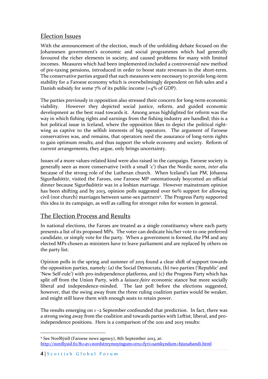### Election Issues

With the announcement of the election, much of the unfolding debate focused on the Johannesen government's economic and social programmes which had generally favoured the richer elements in society, and caused problems for many with limited incomes. Measures which had been implemented included a controversial new method of pre-taxing pensions, introduced in order to boost state revenues in the short-term. The conservative parties argued that such measures were necessary to provide long-term stability for a Faroese economy which is overwhelmingly dependent on fish sales and a Danish subsidy for some  $7\%$  of its public income (=4% of GDP).

The parties previously in opposition also stressed their concern for long-term economic viability. However they depicted social justice, reform, and guided economic development as the best road towards it. Among areas highlighted for reform was the way in which fishing rights and earnings from the fishing industry are handled; this is a hot political issue in Iceland, where the opposition likes to depict the political rightwing as captive to the selfish interests of big operators. The argument of Faroese conservatives was, and remains, that operators need the assurance of long-term rights to gain optimum results, and thus support the whole economy and society. Reform of current arrangements, they argue, only brings uncertainty.

Issues of a more values-related kind were also raised in the campaign. Faroese society is generally seen as more conservative (with a small 'c') than the Nordic norm, *inter alia* because of the strong role of the Lutheran church. When Iceland's last PM, Jóhanna Sigurðadóttir, visited the Faroes, one Faroese MP ostentatiously boycotted an official dinner because Sigurðadóttir was in a lesbian marriage. However mainstream opinion has been shifting and by 2013, opinion polls suggested over 60% support for allowing civil (not church) marriages between same-sex partners<sup>4</sup>. The Progress Party supported this idea in its campaign, as well as calling for stronger roles for women in general.

#### The Election Process and Results

In national elections, the Faroes are treated as a single constituency where each party presents a list of its proposed MPs. The voter can dedicate his/her vote to one preferred candidate, or simply vote for the party. When a government is formed, the PM and any elected MPs chosen as ministers have to leave parliament and are replaced by others on the party list.

Opinion polls in the spring and summer of 2015 found a clear shift of support towards the opposition parties, namely: (a) the Social Democrats, (b) two parties ('Republic' and 'New Self-rule') with pro-independence platforms, and (c) the Progress Party which has split off from the Union Party, with a *laissez-faire* economic stance but more socially liberal and independence-minded. The last poll before the elections suggested, however, that the swing away from the three ruling coalition parties would be weaker, and might still leave them with enough seats to retain power.

The results emerging on 1 –2 September confounded that prediction. In fact, there was a strong swing away from the coalition and towards parties with Leftist, liberal, and proindependence positions. Here is a comparison of the 2011 and 2015 results:

 $\overline{a}$ <sup>4</sup> See Norðlýsið (Faroese news agency), 8th September 2013, at: <http://nordlysid.fo/81+av+nordstreymoyingum+eru+fyri+samkyndum+hjunabandi.html>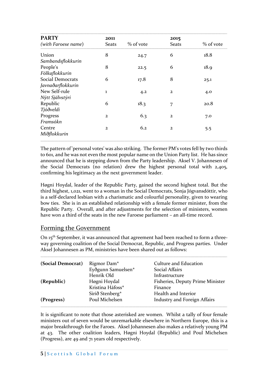| <b>PARTY</b>                          | 2011           |           |                      |           |  |
|---------------------------------------|----------------|-----------|----------------------|-----------|--|
| (with Faroese name)                   | <b>Seats</b>   | % of vote | 2015<br><b>Seats</b> | % of vote |  |
| Union<br>Sambandsflokkurin            | 8              | 24.7      | 6                    | 18.8      |  |
| People's<br>Fólkaflokkurin            | 8              | 22.5      | 6                    | 18.9      |  |
| Social Democrats<br>Javnaðarflokkurin | 6              | 17.8      | 8                    | 25.1      |  |
| New Self-rule<br>Nýtt Sjálvstýri      | 1              | 4.2       | $\overline{2}$       | 4.0       |  |
| Republic<br>Tjóðveldi                 | 6              | 18.3      | 7                    | 20.8      |  |
| Progress<br>Framsókn                  | $\overline{2}$ | 6.3       | $\mathbf{2}$         | 7.0       |  |
| Centre<br>Miðflokkurin                | $\overline{2}$ | 6.2       | $\mathbf{2}$         | 5.5       |  |

The pattern of 'personal votes' was also striking. The former PM's votes fell by two thirds to 601, and he was not even the most popular name on the Union Party list. He has since announced that he is stepping down from the Party leadership. Aksel V. Johannesen of the Social Democrats (no relation) drew the highest personal total with 2,405, confirming his legitimacy as the next government leader.

**……………………………………………………………………………………………………………………………………………………………………………………………………………………………………………………………………………………………………………………………………………………………………………..**

Høgni Hoydal, leader of the Republic Party, gained the second highest total. But the third highest, 1,021, went to a woman in the Social Democrats, Sonja Jógvansdóttir, who is a self-declared lesbian with a charismatic and colourful personality, given to wearing bow ties. She is in an established relationship with a female former minister, from the Republic Party. Overall, and after adjustments for the selection of ministers, women have won a third of the seats in the new Faroese parliament – an all-time record.

#### Forming the Government

On 15<sup>th</sup> September, it was announced that agreement had been reached to form a threeway governing coalition of the Social Democrat, Republic, and Progress parties. Under Aksel Johannesen as PM, ministries have been shared out as follows:

**……………………………………………………………………………………………………………………………………………………………………………………………………………………………………………………………………………………………………………………………………………………………………………..**

| (Social Democrat) | Rigmor Dam <sup>*</sup> | Culture and Education               |
|-------------------|-------------------------|-------------------------------------|
|                   | Eyðgunn Samuelsen*      | Social Affairs                      |
|                   | Henrik Old              | Infrastructure                      |
| (Republic)        | Høgni Hoydal            | Fisheries, Deputy Prime Minister    |
|                   | Kristina Háfoss*        | Finance                             |
|                   | Sirið Stenberg*         | Health and Interior                 |
| (Progress)        | Poul Michelsen          | <b>Industry and Foreign Affairs</b> |

It is significant to note that those asterisked are women. Whilst a tally of four female ministers out of seven would be unremarkable elsewhere in Northern Europe, this is a major breakthrough for the Faroes. Aksel Johannesen also makes a relatively young PM at 43. The other coalition leaders, Høgni Hoydal (Republic) and Poul Michelsen (Progress), are 49 and 71 years old respectively.

**……………………………………………………………………………………………………………………………………………………………………………………………………………………………………………………………………………………………………………………………………………………………………………..**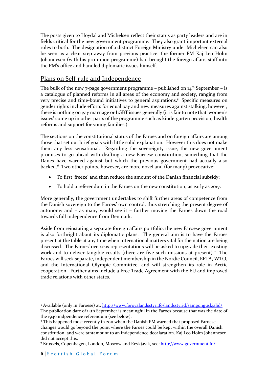The posts given to Hoydal and Michelsen reflect their status as party leaders and are in fields critical for the new government programme. They also grant important external roles to both. The designation of a distinct Foreign Ministry under Michelsen can also be seen as a clear step away from previous practice: the former PM Kaj Leo Holm Johannesen (with his pro-union programme) had brought the foreign affairs staff into the PM's office and handled diplomatic issues himself.

### Plans on Self-rule and Independence

The bulk of the new 7-page government programme – published on  $14<sup>th</sup>$  September – is a catalogue of planned reforms in all areas of the economy and society, ranging from very precise and time-bound initiatives to general aspirations.<sup>5</sup> Specific measures on gender rights include efforts for equal pay and new measures against stalking; however, there is nothing on gay marriage or LGBT issues generally (it is fair to note that 'women's issues' come up in other parts of the programme such as kindergarten provision, health reforms and support for young families.)

The sections on the constitutional status of the Faroes and on foreign affairs are among those that set out brief goals with little solid explanation. However this does not make them any less sensational. Regarding the sovereignty issue, the new government promises to go ahead with drafting a new Faroese constitution, something that the Danes have warned against but which the previous government had actually also backed.<sup>6</sup> Two other points, however, are more novel and (for many) provocative:

- To first 'freeze' and then reduce the amount of the Danish financial subsidy;
- To hold a referendum in the Faroes on the new constitution, as early as 2017.

More generally, the government undertakes to shift further areas of competence from the Danish sovereign to the Faroes' own control, thus stretching the present degree of autonomy and – as many would see it – further moving the Faroes down the road towards full independence from Denmark.

Aside from reinstating a separate foreign affairs portfolio, the new Faroese government is also forthright about its diplomatic plans. The general aim is to have the Faroes present at the table at any time when international matters vital for the nation are being discussed. The Faroes' overseas representations will be asked to upgrade their existing work and to deliver tangible results (there are five such missions at present).<sup>7</sup> The Faroes will seek separate, independent membership in the Nordic Council, EFTA, WTO, and the International Olympic Committee, and will strengthen its role in Arctic cooperation. Further aims include a Free Trade Agreement with the EU and improved trade relations with other states.

 $\overline{a}$ 

<sup>5</sup> Available (only in Faroese) at: <http://www.foroyalandsstyri.fo/landsstyrid/samgonguskjalid/> The publication date of 14th September is meaningful in the Faroes because that was the date of

the 1946 indpendence referendum (see below).

<sup>6</sup> This happened most recently in 2011 when the Danish PM warned that proposed Faroese changes would go beyond the point where the Faroes could be kept within the overall Danish constitution, and were tantamount to an independence decalaration. Kaj Leo Holm Johannesen did not accept this.

<sup>7</sup> Brussels, Copenhagen, London, Moscow and Reykjavík, see: <http://www.government.fo/>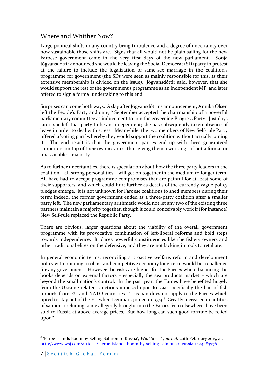### Where and Whither Now?

Large political shifts in any country bring turbulence and a degree of uncertainty over how sustainable those shifts are. Signs that all would not be plain sailing for the new Faroese government came in the very first days of the new parliament. Sonja Jógvansdóttir announced she would be leaving the Social Democrat (SD) party in protest at the failure to include the legalization of same-sex marriage in the coalition's programme for government (the SDs were seen as mainly responsible for this, as their extensive membership is divided on the issue). Jógvansdóttir said, however, that she would support the rest of the government's programme as an Independent MP, and later offered to sign a formal undertaking to this end.

Surprises can come both ways. A day after Jógvansdóttir's announcement, Annika Olsen left the People's Party and on  $17<sup>th</sup>$  September accepted the chairmanship of a powerful parliamentary committee as inducement to join the governing Progress Party. Just days later, she left that party to be an Independent; she has subsequently taken absence of leave in order to deal with stress. Meanwhile, the two members of New Self-rule Party offered a 'voting pact' whereby they would support the coalition without actually joining it. The end result is that the government parties end up with three guaranteed supporters on top of their own 16 votes, thus giving them a working – if not a formal or unassailable – majority.

As to further uncertainties, there is speculation about how the three party leaders in the coalition – all strong personalities – will get on together in the medium to longer term. All have had to accept programme compromises that are painful for at least some of their supporters, and which could hurt further as details of the currently vague policy pledges emerge. It is not unknown for Faroese coalitions to shed members during their term; indeed, the former government ended as a three-party coalition after a smaller party left. The new parliamentary arithmetic would not let any two of the existing three partners maintain a majority together, though it could conceivably work if (for instance) New Self-rule replaced the Republic Party.

There are obvious, larger questions about the viability of the overall government programme with its provocative combination of left-liberal reforms and bold steps towards independence. It places powerful constituencies like the fishery owners and other traditional élites on the defensive, and they are not lacking in tools to retaliate.

In general economic terms, reconciling a proactive welfare, reform and development policy with building a robust and competitive economy long-term would be a challenge for any government. However the risks are higher for the Faroes where balancing the books depends on external factors – especially the sea products market – which are beyond the small nation's control. In the past year, the Faroes have benefited hugely from the Ukraine-related sanctions imposed upon Russia; specifically the ban of fish imports from EU and NATO countries. This ban does not apply to the Faroes which opted to stay out of the EU when Denmark joined in 1973. $8$  Greatly increased quantities of salmon, including some allegedly brought into the Faroes from elsewhere, have been sold to Russia at above-average prices. But how long can such good fortune be relied upon?

 $\overline{a}$ 

<sup>8</sup> 'Faroe Islands Boom by Selling Salmon to Russia', *Wall Street Journal,* 20th February 2015, at: <http://www.wsj.com/articles/faeroe-islands-boom-by-selling-salmon-to-russia-1424483776>